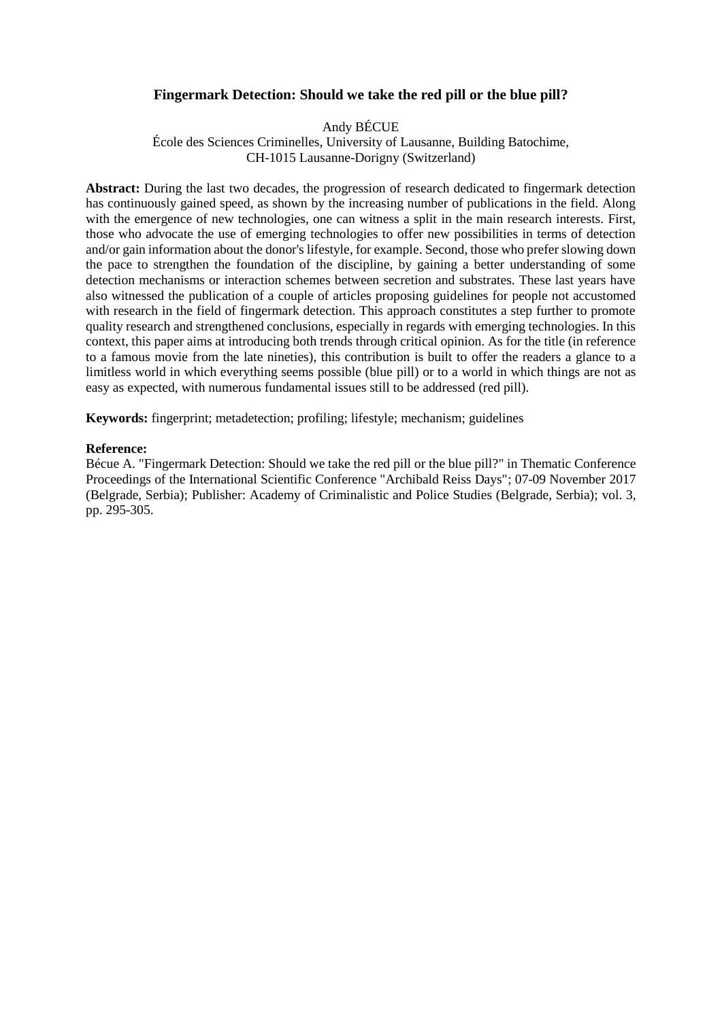# **Fingermark Detection: Should we take the red pill or the blue pill?**

Andy BÉCUE

École des Sciences Criminelles, University of Lausanne, Building Batochime, CH-1015 Lausanne-Dorigny (Switzerland)

**Abstract:** During the last two decades, the progression of research dedicated to fingermark detection has continuously gained speed, as shown by the increasing number of publications in the field. Along with the emergence of new technologies, one can witness a split in the main research interests. First, those who advocate the use of emerging technologies to offer new possibilities in terms of detection and/or gain information about the donor's lifestyle, for example. Second, those who prefer slowing down the pace to strengthen the foundation of the discipline, by gaining a better understanding of some detection mechanisms or interaction schemes between secretion and substrates. These last years have also witnessed the publication of a couple of articles proposing guidelines for people not accustomed with research in the field of fingermark detection. This approach constitutes a step further to promote quality research and strengthened conclusions, especially in regards with emerging technologies. In this context, this paper aims at introducing both trends through critical opinion. As for the title (in reference to a famous movie from the late nineties), this contribution is built to offer the readers a glance to a limitless world in which everything seems possible (blue pill) or to a world in which things are not as easy as expected, with numerous fundamental issues still to be addressed (red pill).

**Keywords:** fingerprint; metadetection; profiling; lifestyle; mechanism; guidelines

#### **Reference:**

Bécue A. "Fingermark Detection: Should we take the red pill or the blue pill?" in Thematic Conference Proceedings of the International Scientific Conference "Archibald Reiss Days"; 07-09 November 2017 (Belgrade, Serbia); Publisher: Academy of Criminalistic and Police Studies (Belgrade, Serbia); vol. 3, pp. 295-305.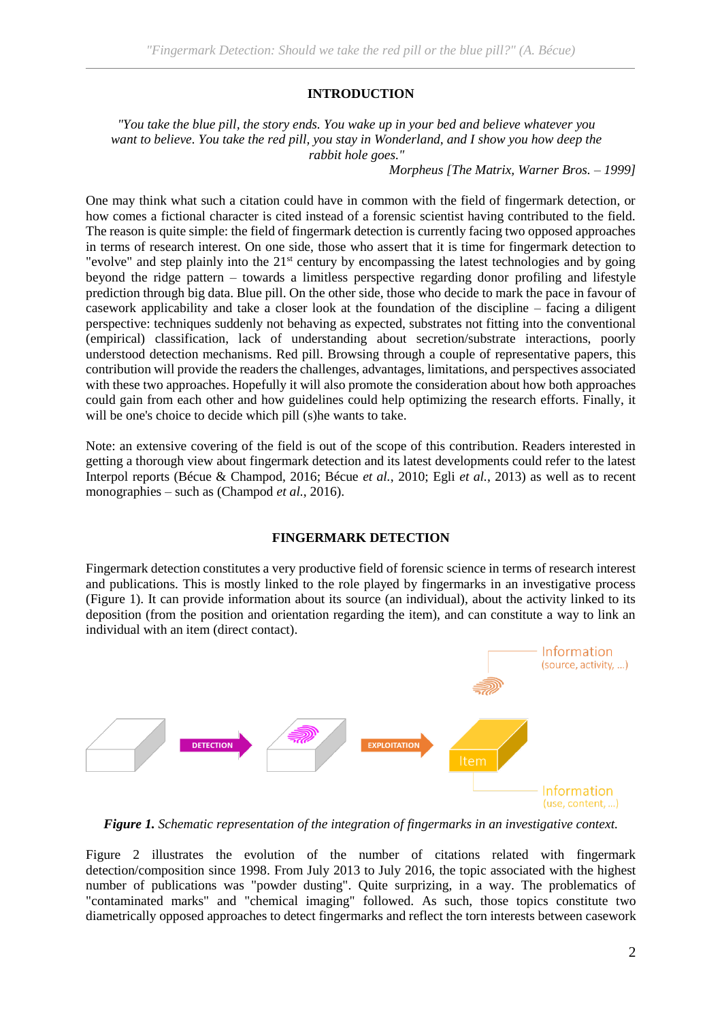# **INTRODUCTION**

*"You take the blue pill, the story ends. You wake up in your bed and believe whatever you want to believe. You take the red pill, you stay in Wonderland, and I show you how deep the rabbit hole goes."*

*Morpheus [The Matrix, Warner Bros. – 1999]*

One may think what such a citation could have in common with the field of fingermark detection, or how comes a fictional character is cited instead of a forensic scientist having contributed to the field. The reason is quite simple: the field of fingermark detection is currently facing two opposed approaches in terms of research interest. On one side, those who assert that it is time for fingermark detection to "evolve" and step plainly into the  $21<sup>st</sup>$  century by encompassing the latest technologies and by going beyond the ridge pattern – towards a limitless perspective regarding donor profiling and lifestyle prediction through big data. Blue pill. On the other side, those who decide to mark the pace in favour of casework applicability and take a closer look at the foundation of the discipline – facing a diligent perspective: techniques suddenly not behaving as expected, substrates not fitting into the conventional (empirical) classification, lack of understanding about secretion/substrate interactions, poorly understood detection mechanisms. Red pill. Browsing through a couple of representative papers, this contribution will provide the readers the challenges, advantages, limitations, and perspectives associated with these two approaches. Hopefully it will also promote the consideration about how both approaches could gain from each other and how guidelines could help optimizing the research efforts. Finally, it will be one's choice to decide which pill (s)he wants to take.

Note: an extensive covering of the field is out of the scope of this contribution. Readers interested in getting a thorough view about fingermark detection and its latest developments could refer to the latest Interpol reports (Bécue & Champod, 2016; Bécue *et al.*, 2010; Egli *et al.*, 2013) as well as to recent monographies – such as (Champod *et al.*, 2016).

# **FINGERMARK DETECTION**

Fingermark detection constitutes a very productive field of forensic science in terms of research interest and publications. This is mostly linked to the role played by fingermarks in an investigative process (Figure 1). It can provide information about its source (an individual), about the activity linked to its deposition (from the position and orientation regarding the item), and can constitute a way to link an individual with an item (direct contact).



*Figure 1. Schematic representation of the integration of fingermarks in an investigative context.*

Figure 2 illustrates the evolution of the number of citations related with fingermark detection/composition since 1998. From July 2013 to July 2016, the topic associated with the highest number of publications was "powder dusting". Quite surprizing, in a way. The problematics of "contaminated marks" and "chemical imaging" followed. As such, those topics constitute two diametrically opposed approaches to detect fingermarks and reflect the torn interests between casework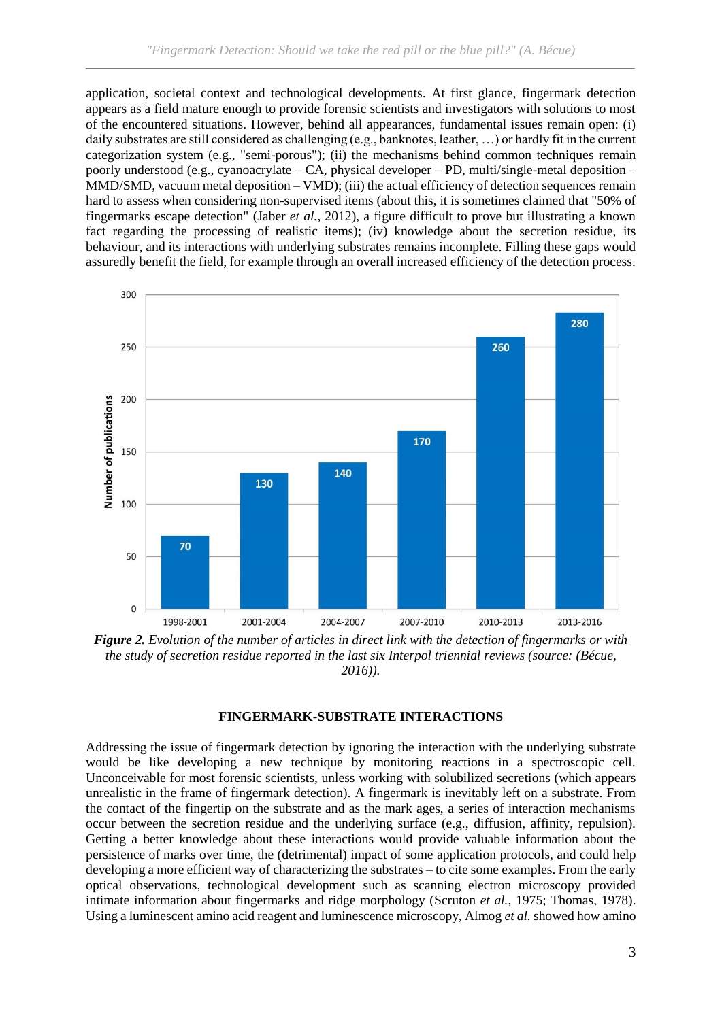application, societal context and technological developments. At first glance, fingermark detection appears as a field mature enough to provide forensic scientists and investigators with solutions to most of the encountered situations. However, behind all appearances, fundamental issues remain open: (i) daily substrates are still considered as challenging (e.g., banknotes, leather, …) or hardly fit in the current categorization system (e.g., "semi-porous"); (ii) the mechanisms behind common techniques remain poorly understood (e.g., cyanoacrylate – CA, physical developer – PD, multi/single-metal deposition – MMD/SMD, vacuum metal deposition – VMD); (iii) the actual efficiency of detection sequences remain hard to assess when considering non-supervised items (about this, it is sometimes claimed that "50% of fingermarks escape detection" (Jaber *et al.*, 2012), a figure difficult to prove but illustrating a known fact regarding the processing of realistic items); (iv) knowledge about the secretion residue, its behaviour, and its interactions with underlying substrates remains incomplete. Filling these gaps would assuredly benefit the field, for example through an overall increased efficiency of the detection process.



*Figure 2. Evolution of the number of articles in direct link with the detection of fingermarks or with the study of secretion residue reported in the last six Interpol triennial reviews (source: (Bécue, 2016)).*

#### **FINGERMARK-SUBSTRATE INTERACTIONS**

Addressing the issue of fingermark detection by ignoring the interaction with the underlying substrate would be like developing a new technique by monitoring reactions in a spectroscopic cell. Unconceivable for most forensic scientists, unless working with solubilized secretions (which appears unrealistic in the frame of fingermark detection). A fingermark is inevitably left on a substrate. From the contact of the fingertip on the substrate and as the mark ages, a series of interaction mechanisms occur between the secretion residue and the underlying surface (e.g., diffusion, affinity, repulsion). Getting a better knowledge about these interactions would provide valuable information about the persistence of marks over time, the (detrimental) impact of some application protocols, and could help developing a more efficient way of characterizing the substrates – to cite some examples. From the early optical observations, technological development such as scanning electron microscopy provided intimate information about fingermarks and ridge morphology (Scruton *et al.*, 1975; Thomas, 1978). Using a luminescent amino acid reagent and luminescence microscopy, Almog *et al.* showed how amino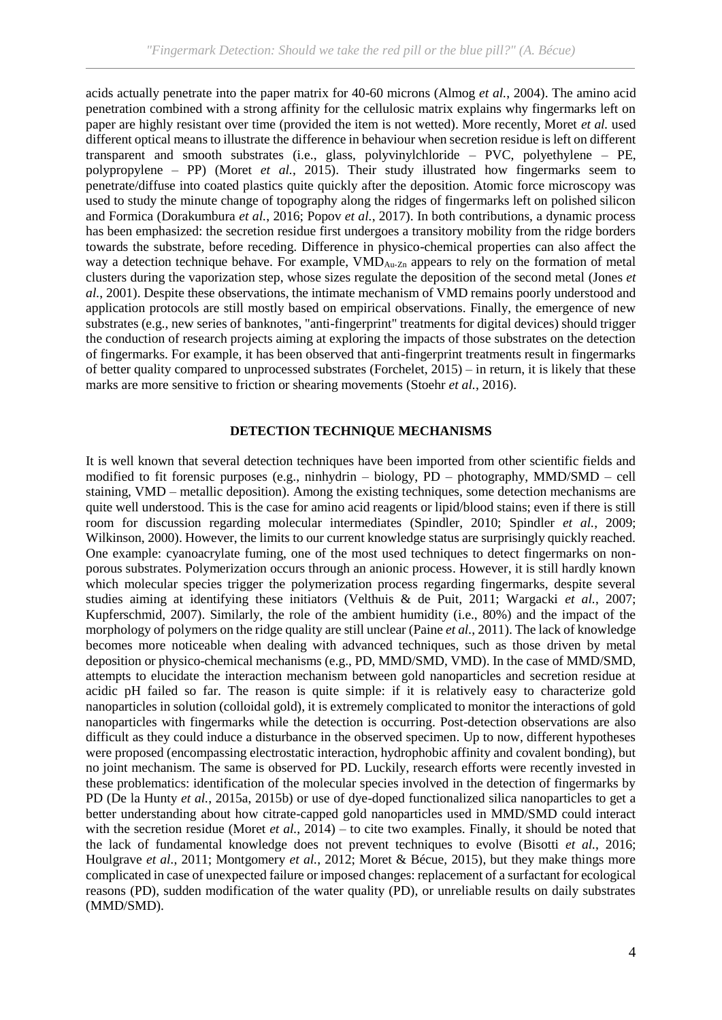acids actually penetrate into the paper matrix for 40-60 microns (Almog *et al.*, 2004). The amino acid penetration combined with a strong affinity for the cellulosic matrix explains why fingermarks left on paper are highly resistant over time (provided the item is not wetted). More recently, Moret *et al.* used different optical means to illustrate the difference in behaviour when secretion residue is left on different transparent and smooth substrates (i.e., glass, polyvinylchloride – PVC, polyethylene – PE, polypropylene – PP) (Moret *et al.*, 2015). Their study illustrated how fingermarks seem to penetrate/diffuse into coated plastics quite quickly after the deposition. Atomic force microscopy was used to study the minute change of topography along the ridges of fingermarks left on polished silicon and Formica (Dorakumbura *et al.*, 2016; Popov *et al.*, 2017). In both contributions, a dynamic process has been emphasized: the secretion residue first undergoes a transitory mobility from the ridge borders towards the substrate, before receding. Difference in physico-chemical properties can also affect the way a detection technique behave. For example, VMD<sub>Au-Zn</sub> appears to rely on the formation of metal clusters during the vaporization step, whose sizes regulate the deposition of the second metal (Jones *et al.*, 2001). Despite these observations, the intimate mechanism of VMD remains poorly understood and application protocols are still mostly based on empirical observations. Finally, the emergence of new substrates (e.g., new series of banknotes, "anti-fingerprint" treatments for digital devices) should trigger the conduction of research projects aiming at exploring the impacts of those substrates on the detection of fingermarks. For example, it has been observed that anti-fingerprint treatments result in fingermarks of better quality compared to unprocessed substrates (Forchelet, 2015) – in return, it is likely that these marks are more sensitive to friction or shearing movements (Stoehr *et al.*, 2016).

# **DETECTION TECHNIQUE MECHANISMS**

It is well known that several detection techniques have been imported from other scientific fields and modified to fit forensic purposes (e.g., ninhydrin – biology, PD – photography, MMD/SMD – cell staining, VMD – metallic deposition). Among the existing techniques, some detection mechanisms are quite well understood. This is the case for amino acid reagents or lipid/blood stains; even if there is still room for discussion regarding molecular intermediates (Spindler, 2010; Spindler *et al.*, 2009; Wilkinson, 2000). However, the limits to our current knowledge status are surprisingly quickly reached. One example: cyanoacrylate fuming, one of the most used techniques to detect fingermarks on nonporous substrates. Polymerization occurs through an anionic process. However, it is still hardly known which molecular species trigger the polymerization process regarding fingermarks, despite several studies aiming at identifying these initiators (Velthuis & de Puit, 2011; Wargacki *et al.*, 2007; Kupferschmid, 2007). Similarly, the role of the ambient humidity (i.e., 80%) and the impact of the morphology of polymers on the ridge quality are still unclear (Paine *et al.*, 2011). The lack of knowledge becomes more noticeable when dealing with advanced techniques, such as those driven by metal deposition or physico-chemical mechanisms (e.g., PD, MMD/SMD, VMD). In the case of MMD/SMD, attempts to elucidate the interaction mechanism between gold nanoparticles and secretion residue at acidic pH failed so far. The reason is quite simple: if it is relatively easy to characterize gold nanoparticles in solution (colloidal gold), it is extremely complicated to monitor the interactions of gold nanoparticles with fingermarks while the detection is occurring. Post-detection observations are also difficult as they could induce a disturbance in the observed specimen. Up to now, different hypotheses were proposed (encompassing electrostatic interaction, hydrophobic affinity and covalent bonding), but no joint mechanism. The same is observed for PD. Luckily, research efforts were recently invested in these problematics: identification of the molecular species involved in the detection of fingermarks by PD (De la Hunty *et al.*, 2015a, 2015b) or use of dye-doped functionalized silica nanoparticles to get a better understanding about how citrate-capped gold nanoparticles used in MMD/SMD could interact with the secretion residue (Moret *et al.*, 2014) – to cite two examples. Finally, it should be noted that the lack of fundamental knowledge does not prevent techniques to evolve (Bisotti *et al.*, 2016; Houlgrave *et al.*, 2011; Montgomery *et al.*, 2012; Moret & Bécue, 2015), but they make things more complicated in case of unexpected failure or imposed changes: replacement of a surfactant for ecological reasons (PD), sudden modification of the water quality (PD), or unreliable results on daily substrates (MMD/SMD).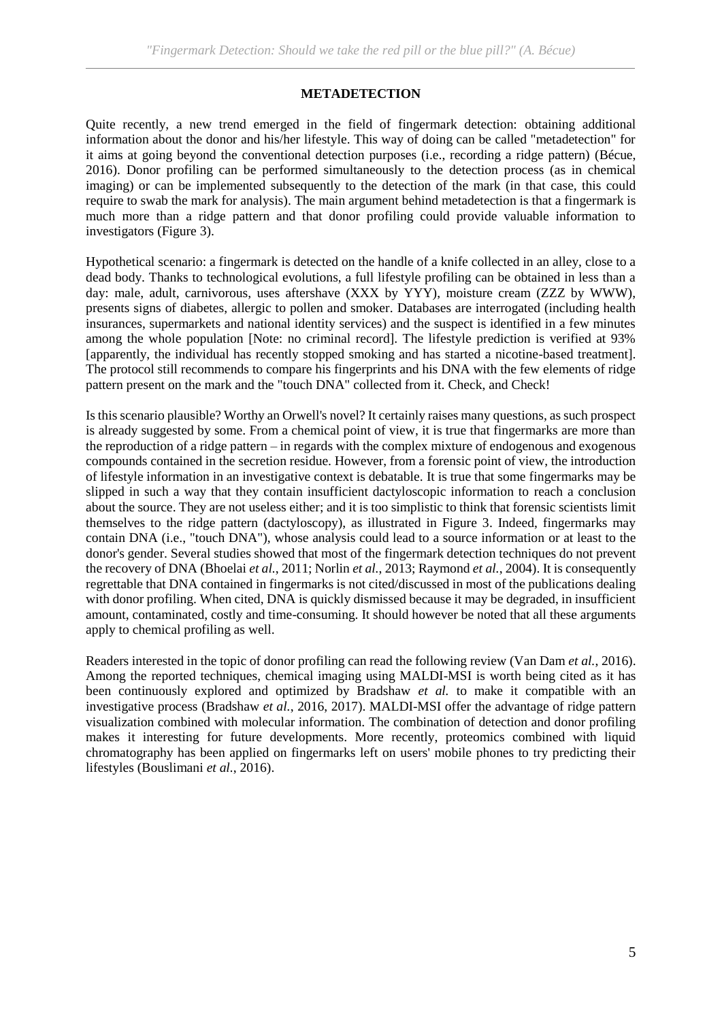### **METADETECTION**

Quite recently, a new trend emerged in the field of fingermark detection: obtaining additional information about the donor and his/her lifestyle. This way of doing can be called "metadetection" for it aims at going beyond the conventional detection purposes (i.e., recording a ridge pattern) (Bécue, 2016). Donor profiling can be performed simultaneously to the detection process (as in chemical imaging) or can be implemented subsequently to the detection of the mark (in that case, this could require to swab the mark for analysis). The main argument behind metadetection is that a fingermark is much more than a ridge pattern and that donor profiling could provide valuable information to investigators (Figure 3).

Hypothetical scenario: a fingermark is detected on the handle of a knife collected in an alley, close to a dead body. Thanks to technological evolutions, a full lifestyle profiling can be obtained in less than a day: male, adult, carnivorous, uses aftershave (XXX by YYY), moisture cream (ZZZ by WWW), presents signs of diabetes, allergic to pollen and smoker. Databases are interrogated (including health insurances, supermarkets and national identity services) and the suspect is identified in a few minutes among the whole population [Note: no criminal record]. The lifestyle prediction is verified at 93% [apparently, the individual has recently stopped smoking and has started a nicotine-based treatment]. The protocol still recommends to compare his fingerprints and his DNA with the few elements of ridge pattern present on the mark and the "touch DNA" collected from it. Check, and Check!

Is this scenario plausible? Worthy an Orwell's novel? It certainly raises many questions, as such prospect is already suggested by some. From a chemical point of view, it is true that fingermarks are more than the reproduction of a ridge pattern – in regards with the complex mixture of endogenous and exogenous compounds contained in the secretion residue. However, from a forensic point of view, the introduction of lifestyle information in an investigative context is debatable. It is true that some fingermarks may be slipped in such a way that they contain insufficient dactyloscopic information to reach a conclusion about the source. They are not useless either; and it is too simplistic to think that forensic scientists limit themselves to the ridge pattern (dactyloscopy), as illustrated in Figure 3. Indeed, fingermarks may contain DNA (i.e., "touch DNA"), whose analysis could lead to a source information or at least to the donor's gender. Several studies showed that most of the fingermark detection techniques do not prevent the recovery of DNA (Bhoelai *et al.*, 2011; Norlin *et al.*, 2013; Raymond *et al.*, 2004). It is consequently regrettable that DNA contained in fingermarks is not cited/discussed in most of the publications dealing with donor profiling. When cited, DNA is quickly dismissed because it may be degraded, in insufficient amount, contaminated, costly and time-consuming. It should however be noted that all these arguments apply to chemical profiling as well.

Readers interested in the topic of donor profiling can read the following review (Van Dam *et al.*, 2016). Among the reported techniques, chemical imaging using MALDI-MSI is worth being cited as it has been continuously explored and optimized by Bradshaw *et al.* to make it compatible with an investigative process (Bradshaw *et al.*, 2016, 2017). MALDI-MSI offer the advantage of ridge pattern visualization combined with molecular information. The combination of detection and donor profiling makes it interesting for future developments. More recently, proteomics combined with liquid chromatography has been applied on fingermarks left on users' mobile phones to try predicting their lifestyles (Bouslimani *et al.*, 2016).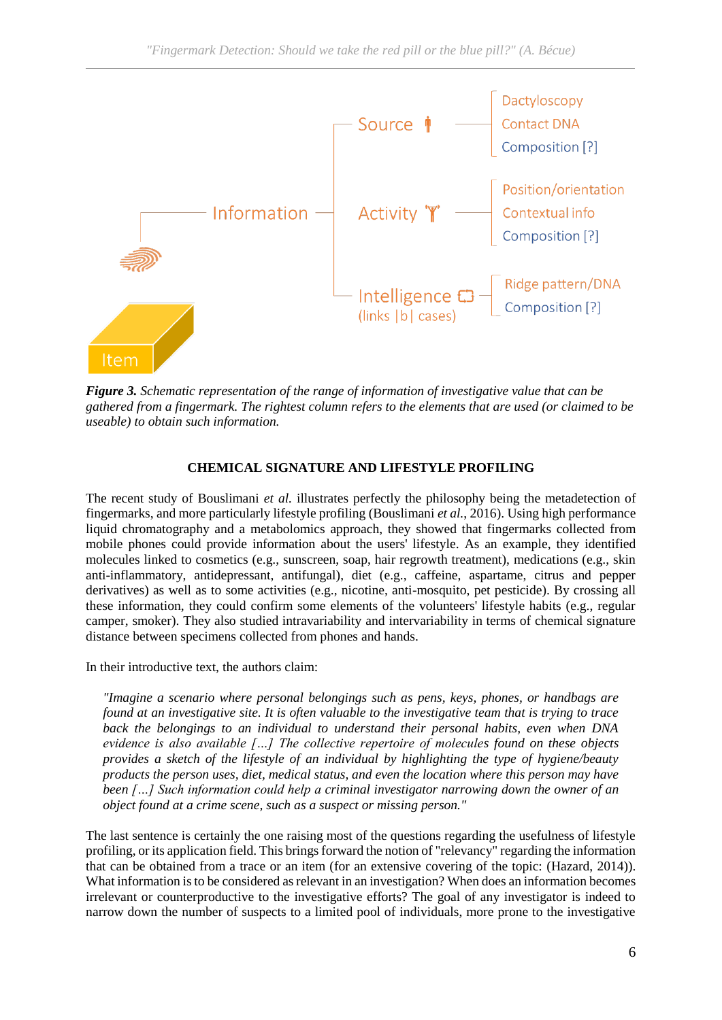

*Figure 3. Schematic representation of the range of information of investigative value that can be gathered from a fingermark. The rightest column refers to the elements that are used (or claimed to be useable) to obtain such information.*

# **CHEMICAL SIGNATURE AND LIFESTYLE PROFILING**

The recent study of Bouslimani *et al.* illustrates perfectly the philosophy being the metadetection of fingermarks, and more particularly lifestyle profiling (Bouslimani *et al.*, 2016). Using high performance liquid chromatography and a metabolomics approach, they showed that fingermarks collected from mobile phones could provide information about the users' lifestyle. As an example, they identified molecules linked to cosmetics (e.g., sunscreen, soap, hair regrowth treatment), medications (e.g., skin anti-inflammatory, antidepressant, antifungal), diet (e.g., caffeine, aspartame, citrus and pepper derivatives) as well as to some activities (e.g., nicotine, anti-mosquito, pet pesticide). By crossing all these information, they could confirm some elements of the volunteers' lifestyle habits (e.g., regular camper, smoker). They also studied intravariability and intervariability in terms of chemical signature distance between specimens collected from phones and hands.

In their introductive text, the authors claim:

*"Imagine a scenario where personal belongings such as pens, keys, phones, or handbags are found at an investigative site. It is often valuable to the investigative team that is trying to trace back the belongings to an individual to understand their personal habits, even when DNA evidence is also available […] The collective repertoire of molecules found on these objects provides a sketch of the lifestyle of an individual by highlighting the type of hygiene/beauty products the person uses, diet, medical status, and even the location where this person may have been […] Such information could help a criminal investigator narrowing down the owner of an object found at a crime scene, such as a suspect or missing person."*

The last sentence is certainly the one raising most of the questions regarding the usefulness of lifestyle profiling, or its application field. This brings forward the notion of "relevancy" regarding the information that can be obtained from a trace or an item (for an extensive covering of the topic: (Hazard, 2014)). What information is to be considered as relevant in an investigation? When does an information becomes irrelevant or counterproductive to the investigative efforts? The goal of any investigator is indeed to narrow down the number of suspects to a limited pool of individuals, more prone to the investigative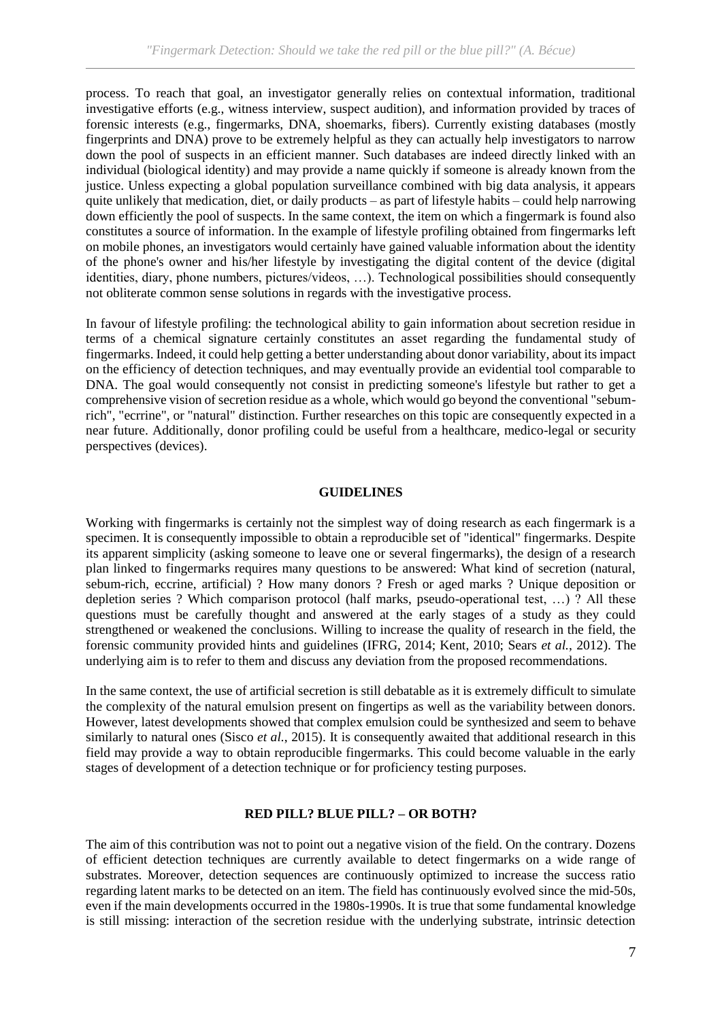process. To reach that goal, an investigator generally relies on contextual information, traditional investigative efforts (e.g., witness interview, suspect audition), and information provided by traces of forensic interests (e.g., fingermarks, DNA, shoemarks, fibers). Currently existing databases (mostly fingerprints and DNA) prove to be extremely helpful as they can actually help investigators to narrow down the pool of suspects in an efficient manner. Such databases are indeed directly linked with an individual (biological identity) and may provide a name quickly if someone is already known from the justice. Unless expecting a global population surveillance combined with big data analysis, it appears quite unlikely that medication, diet, or daily products – as part of lifestyle habits – could help narrowing down efficiently the pool of suspects. In the same context, the item on which a fingermark is found also constitutes a source of information. In the example of lifestyle profiling obtained from fingermarks left on mobile phones, an investigators would certainly have gained valuable information about the identity of the phone's owner and his/her lifestyle by investigating the digital content of the device (digital identities, diary, phone numbers, pictures/videos, …). Technological possibilities should consequently not obliterate common sense solutions in regards with the investigative process.

In favour of lifestyle profiling: the technological ability to gain information about secretion residue in terms of a chemical signature certainly constitutes an asset regarding the fundamental study of fingermarks. Indeed, it could help getting a better understanding about donor variability, about its impact on the efficiency of detection techniques, and may eventually provide an evidential tool comparable to DNA. The goal would consequently not consist in predicting someone's lifestyle but rather to get a comprehensive vision of secretion residue as a whole, which would go beyond the conventional "sebumrich", "ecrrine", or "natural" distinction. Further researches on this topic are consequently expected in a near future. Additionally, donor profiling could be useful from a healthcare, medico-legal or security perspectives (devices).

### **GUIDELINES**

Working with fingermarks is certainly not the simplest way of doing research as each fingermark is a specimen. It is consequently impossible to obtain a reproducible set of "identical" fingermarks. Despite its apparent simplicity (asking someone to leave one or several fingermarks), the design of a research plan linked to fingermarks requires many questions to be answered: What kind of secretion (natural, sebum-rich, eccrine, artificial) ? How many donors ? Fresh or aged marks ? Unique deposition or depletion series ? Which comparison protocol (half marks, pseudo-operational test, …) ? All these questions must be carefully thought and answered at the early stages of a study as they could strengthened or weakened the conclusions. Willing to increase the quality of research in the field, the forensic community provided hints and guidelines (IFRG, 2014; Kent, 2010; Sears *et al.*, 2012). The underlying aim is to refer to them and discuss any deviation from the proposed recommendations.

In the same context, the use of artificial secretion is still debatable as it is extremely difficult to simulate the complexity of the natural emulsion present on fingertips as well as the variability between donors. However, latest developments showed that complex emulsion could be synthesized and seem to behave similarly to natural ones (Sisco *et al.*, 2015). It is consequently awaited that additional research in this field may provide a way to obtain reproducible fingermarks. This could become valuable in the early stages of development of a detection technique or for proficiency testing purposes.

### **RED PILL? BLUE PILL? – OR BOTH?**

The aim of this contribution was not to point out a negative vision of the field. On the contrary. Dozens of efficient detection techniques are currently available to detect fingermarks on a wide range of substrates. Moreover, detection sequences are continuously optimized to increase the success ratio regarding latent marks to be detected on an item. The field has continuously evolved since the mid-50s, even if the main developments occurred in the 1980s-1990s. It is true that some fundamental knowledge is still missing: interaction of the secretion residue with the underlying substrate, intrinsic detection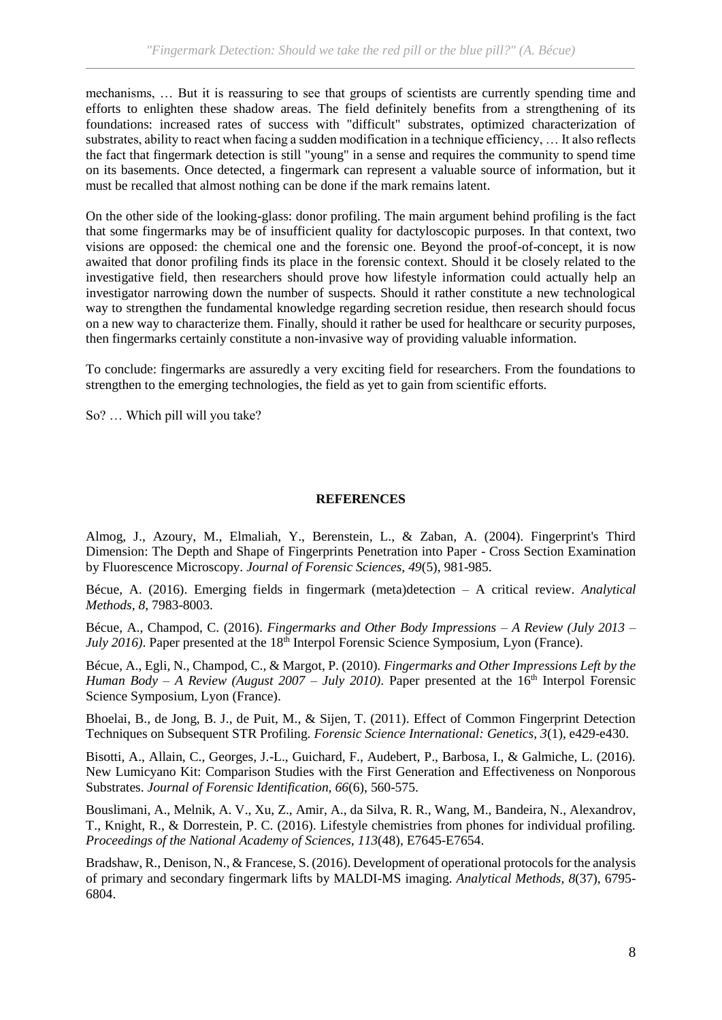mechanisms, … But it is reassuring to see that groups of scientists are currently spending time and efforts to enlighten these shadow areas. The field definitely benefits from a strengthening of its foundations: increased rates of success with "difficult" substrates, optimized characterization of substrates, ability to react when facing a sudden modification in a technique efficiency, … It also reflects the fact that fingermark detection is still "young" in a sense and requires the community to spend time on its basements. Once detected, a fingermark can represent a valuable source of information, but it must be recalled that almost nothing can be done if the mark remains latent.

On the other side of the looking-glass: donor profiling. The main argument behind profiling is the fact that some fingermarks may be of insufficient quality for dactyloscopic purposes. In that context, two visions are opposed: the chemical one and the forensic one. Beyond the proof-of-concept, it is now awaited that donor profiling finds its place in the forensic context. Should it be closely related to the investigative field, then researchers should prove how lifestyle information could actually help an investigator narrowing down the number of suspects. Should it rather constitute a new technological way to strengthen the fundamental knowledge regarding secretion residue, then research should focus on a new way to characterize them. Finally, should it rather be used for healthcare or security purposes, then fingermarks certainly constitute a non-invasive way of providing valuable information.

To conclude: fingermarks are assuredly a very exciting field for researchers. From the foundations to strengthen to the emerging technologies, the field as yet to gain from scientific efforts.

So? … Which pill will you take?

# **REFERENCES**

Almog, J., Azoury, M., Elmaliah, Y., Berenstein, L., & Zaban, A. (2004). Fingerprint's Third Dimension: The Depth and Shape of Fingerprints Penetration into Paper - Cross Section Examination by Fluorescence Microscopy. *Journal of Forensic Sciences, 49*(5), 981-985.

Bécue, A. (2016). Emerging fields in fingermark (meta)detection – A critical review. *Analytical Methods, 8*, 7983-8003.

Bécue, A., Champod, C. (2016). *Fingermarks and Other Body Impressions – A Review (July 2013 – July 2016*). Paper presented at the 18<sup>th</sup> Interpol Forensic Science Symposium, Lyon (France).

Bécue, A., Egli, N., Champod, C., & Margot, P. (2010). *Fingermarks and Other Impressions Left by the Human Body – A Review (August 2007 – July 2010).* Paper presented at the 16<sup>th</sup> Interpol Forensic Science Symposium, Lyon (France).

Bhoelai, B., de Jong, B. J., de Puit, M., & Sijen, T. (2011). Effect of Common Fingerprint Detection Techniques on Subsequent STR Profiling. *Forensic Science International: Genetics, 3*(1), e429-e430.

Bisotti, A., Allain, C., Georges, J.-L., Guichard, F., Audebert, P., Barbosa, I., & Galmiche, L. (2016). New Lumicyano Kit: Comparison Studies with the First Generation and Effectiveness on Nonporous Substrates. *Journal of Forensic Identification, 66*(6), 560-575.

Bouslimani, A., Melnik, A. V., Xu, Z., Amir, A., da Silva, R. R., Wang, M., Bandeira, N., Alexandrov, T., Knight, R., & Dorrestein, P. C. (2016). Lifestyle chemistries from phones for individual profiling. *Proceedings of the National Academy of Sciences, 113*(48), E7645-E7654.

Bradshaw, R., Denison, N., & Francese, S. (2016). Development of operational protocols for the analysis of primary and secondary fingermark lifts by MALDI-MS imaging. *Analytical Methods, 8*(37), 6795- 6804.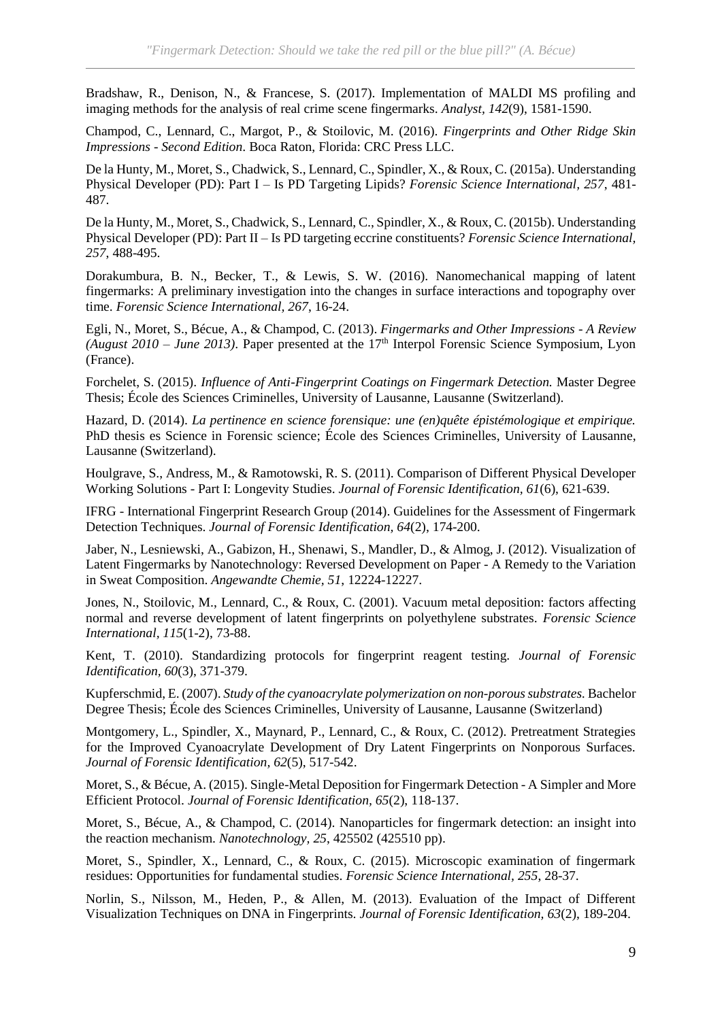Bradshaw, R., Denison, N., & Francese, S. (2017). Implementation of MALDI MS profiling and imaging methods for the analysis of real crime scene fingermarks. *Analyst, 142*(9), 1581-1590.

Champod, C., Lennard, C., Margot, P., & Stoilovic, M. (2016). *Fingerprints and Other Ridge Skin Impressions - Second Edition*. Boca Raton, Florida: CRC Press LLC.

De la Hunty, M., Moret, S., Chadwick, S., Lennard, C., Spindler, X., & Roux, C. (2015a). Understanding Physical Developer (PD): Part I – Is PD Targeting Lipids? *Forensic Science International, 257*, 481- 487.

De la Hunty, M., Moret, S., Chadwick, S., Lennard, C., Spindler, X., & Roux, C. (2015b). Understanding Physical Developer (PD): Part II – Is PD targeting eccrine constituents? *Forensic Science International, 257*, 488-495.

Dorakumbura, B. N., Becker, T., & Lewis, S. W. (2016). Nanomechanical mapping of latent fingermarks: A preliminary investigation into the changes in surface interactions and topography over time. *Forensic Science International, 267*, 16-24.

Egli, N., Moret, S., Bécue, A., & Champod, C. (2013). *Fingermarks and Other Impressions - A Review (August 2010 – June 2013)*. Paper presented at the 17th Interpol Forensic Science Symposium, Lyon (France).

Forchelet, S. (2015). *Influence of Anti-Fingerprint Coatings on Fingermark Detection.* Master Degree Thesis; École des Sciences Criminelles, University of Lausanne, Lausanne (Switzerland).

Hazard, D. (2014). *La pertinence en science forensique: une (en)quête épistémologique et empirique.* PhD thesis es Science in Forensic science; École des Sciences Criminelles, University of Lausanne, Lausanne (Switzerland).

Houlgrave, S., Andress, M., & Ramotowski, R. S. (2011). Comparison of Different Physical Developer Working Solutions - Part I: Longevity Studies. *Journal of Forensic Identification, 61*(6), 621-639.

IFRG - International Fingerprint Research Group (2014). Guidelines for the Assessment of Fingermark Detection Techniques. *Journal of Forensic Identification, 64*(2), 174-200.

Jaber, N., Lesniewski, A., Gabizon, H., Shenawi, S., Mandler, D., & Almog, J. (2012). Visualization of Latent Fingermarks by Nanotechnology: Reversed Development on Paper - A Remedy to the Variation in Sweat Composition. *Angewandte Chemie, 51*, 12224-12227.

Jones, N., Stoilovic, M., Lennard, C., & Roux, C. (2001). Vacuum metal deposition: factors affecting normal and reverse development of latent fingerprints on polyethylene substrates. *Forensic Science International, 115*(1-2), 73-88.

Kent, T. (2010). Standardizing protocols for fingerprint reagent testing. *Journal of Forensic Identification, 60*(3), 371-379.

Kupferschmid, E. (2007). *Study of the cyanoacrylate polymerization on non-porous substrates.* Bachelor Degree Thesis; École des Sciences Criminelles, University of Lausanne, Lausanne (Switzerland)

Montgomery, L., Spindler, X., Maynard, P., Lennard, C., & Roux, C. (2012). Pretreatment Strategies for the Improved Cyanoacrylate Development of Dry Latent Fingerprints on Nonporous Surfaces. *Journal of Forensic Identification, 62*(5), 517-542.

Moret, S., & Bécue, A. (2015). Single-Metal Deposition for Fingermark Detection - A Simpler and More Efficient Protocol. *Journal of Forensic Identification, 65*(2), 118-137.

Moret, S., Bécue, A., & Champod, C. (2014). Nanoparticles for fingermark detection: an insight into the reaction mechanism. *Nanotechnology, 25*, 425502 (425510 pp).

Moret, S., Spindler, X., Lennard, C., & Roux, C. (2015). Microscopic examination of fingermark residues: Opportunities for fundamental studies. *Forensic Science International, 255*, 28-37.

Norlin, S., Nilsson, M., Heden, P., & Allen, M. (2013). Evaluation of the Impact of Different Visualization Techniques on DNA in Fingerprints. *Journal of Forensic Identification, 63*(2), 189-204.